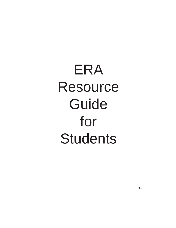# ERA Resource Guide for **Students**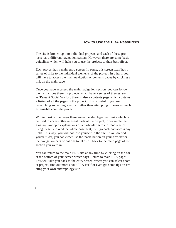# **How to Use the ERA Resources**

The site is broken up into individual projects, and each of these projects has a different navigation system. However, there are some basic guidelines which will help you to use the projects to their best effect.

Each project has a main entry screen. In some, this screen itself has a series of links to the individual elements of the project. In others, you will have to access the main navigation or contents pages by clicking a link on the main page.

Once you have accessed the main navigation section, you can follow the instructions there. In projects which have a series of themes, such as 'Peasant Social Worlds', there is also a contents page which contains a listing of all the pages in the project. This is useful if you are researching something specific, rather than attempting to learn as much as possible about the project.

Within most of the pages there are embedded hypertext links which can be used to access other relevant parts of the project, for example the glossary, in-depth explanations of a particular item etc. One way of using these is to read the whole page first, then go back and access any links. This way, you will not lose yourself in the site. If you do find yourself lost, you can either use the 'back' button on your browser or the navigation bars or buttons to take you back to the main page of the section you were in.

You can return to the main ERA site at any time by clicking on the bar at the bottom of your screen which says 'Return to main ERA page'. This will take you back to the entry screen, where you can select another project, find out more about ERA itself or even get some tips on creating your own anthropology site.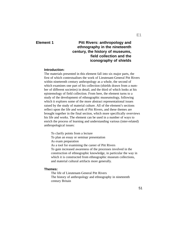## **Element 1**

# **Pitt Rivers: anthropology and ethnography in the nineteenth century, the history of museums, field collection and the iconography of shields**

## **Introduction:**

The materials presented in this element fall into six major parts, the first of which contextualises the work of Lieutenant-General Pitt Rivers within nineteenth century anthropology as a whole, the second of which examines one part of his collection (shields drawn from a number of different societies) in detail, and the third of which looks at his epistemology of field collection. From here, the element turns to a study of the development of ethnographic museumology, following which it explores some of the more abstract representational issues raised by the study of material culture. All of the element's sections reflect upon the life and work of Pitt Rivers, and these themes are brought together in the final section, which more specifically overviews his life and works. The element can be used in a number of ways to enrich the process of learning and understanding various (inter-related) anthropological issues:

To clarify points from a lecture

To plan an essay or seminar presentation

As exam preparation

As a tool for examining the career of Pitt Rivers To gain increased awareness of the processes involved in the construction of ethnographic knowledge, in particular the way in which it is constructed from ethnographic museum collections, and material cultural artifacts more generally.

#### **Themes:**

The life of Lieutenant-General Pitt Rivers The history of anthropology and ethnography in nineteenth century Britain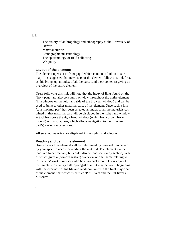The history of anthropology and ethnography at the University of Oxford Material culture Ethnographic museumology The epistemology of field collecting Weaponry

#### **Layout of the element:**

The element opens at a 'front page' which contains a link to a 'site map' It is suggested that new users of the element follow this link first, as this brings up an index of all the parts (and their contents) giving an overview of the entire element.

Users following this link will note that the index of links found on the 'front page' are also constantly on view throughout the entire element (in a window on the left hand side of the browser window) and can be used to jump to other maximal parts of the element. Once such a link (to a maximal part) has been selected an index of all the materials contained in that maximal part will be displayed in the right hand window. A tool bar above the right hand window (which has a brown background) will also appear, which allows navigation to the (maximal part's) various sub-sections.

All selected materials are displayed in the right hand window.

#### **Reading and using the element:**

How you read the element will be determined by personal choice and by your specific needs for reading the material. The element can be read in a linear manner, but could also be read section by section, each of which gives a (non-exhaustive) overview of one theme relating to Pitt Rivers' work. For users who have no background knowledge of this nineteenth century anthropologist at all, it may be worth beginning with the overview of his life and work contained in the final major part of the element, that which is entitled 'Pitt Rivers and the Pitt Rivers Museum'.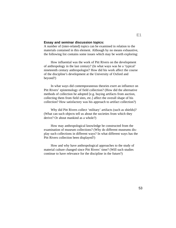#### **Essay and seminar discussion topics:**

A number of (inter-related) topics can be examined in relation to the materials contained in this element. Although by no means exhaustive, the following list contains some issues which may be worth exploring:

How influential was the work of Pitt Rivers on the development of anthropology in the last century? (In what ways was he a 'typical' nineteenth century anthropologist? How did his work affect the course of the discipline's development at the University of Oxford and beyond?)

In what ways did contemporaneous theories exert an influence on Pitt Rivers' epistemology of field collection? (How did the alternative methods of collection he adopted [e.g. buying artifacts from auction, collecting them from field sites, etc.] affect the overall shape of his collection? How satisfactory was his approach to artifact collection?)

Why did Pitt Rivers collect 'military' artifacts (such as shields)? (What can such objects tell us about the societies from which they derive? Or about mankind as a whole?)

How may anthropological knowledge be constructed from the examination of museum collections? (Why do different museums display such collections in different ways? In what different ways has the Pitt Rivers collection been displayed?)

How and why have anthropological approaches to the study of material culture changed since Pitt Rivers' time? (Will such studies continue to have relevance for the discipline in the future?)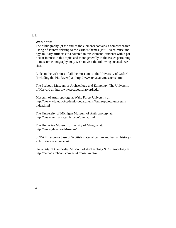#### **Web sites:**

The bibliography (at the end of the element) contains a comprehensive listing of sources relating to the various themes (Pitt Rivers, museumology, military artifacts etc.) covered in this element. Students with a particular interest in this topic, and more generally in the issues pertaining to museum ethnography, may wish to visit the following (related) web sites:

Links to the web sites of all the museums at the University of Oxford (including the Pitt Rivers) at: http://www.ox.ac.uk/museums.html

The Peabody Museum of Archaeology and Ethnology, The University of Harvard at: http://www.peabody.harvard.edu/

Museum of Anthropology at Wake Forest University at: http://www.wfu.edu/Academic-departments/Anthropology/museum/ index.html

The University of Michigan Museum of Anthropology at: http://www.umma.lsa.umich.edu/umma.html

The Hunterian Museum University of Glasgow at: http://www.gla.ac.uk/Museum/

SCRAN (resource base of Scottish material culture and human history) a: http://www.scran.ac.uk/

University of Cambridge Museum of Archaeology & Anthropology at: http://cumaa.archanth.cam.ac.uk/museum.htm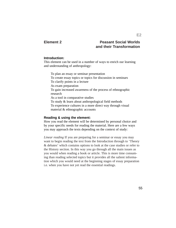## **Element 2**

# **Peasant Social Worlds and their Transformation**

#### **Introduction:**

This element can be used in a number of ways to enrich our learning and understanding of anthropology:

To plan an essay or seminar presentation To create essay topics or topics for discussion in seminars To clarify points in a lecture As exam preparation To gain increased awareness of the process of ethnographic research As a tool in comparative studies To study & learn about anthropological field methods To experience cultures in a more direct way through visual material & ethnographic accounts

#### **Reading & using the element:**

How you read the element will be determined by personal choice and by your specific needs for reading the material. Here are a few ways you may approach the texts depending on the context of study:

*Linear reading* If you are preparing for a seminar or essay you may want to begin reading the text from the Introduction through to 'Theory & debates' which contains options to look at the case studies or refer to the History section. In this way you go through all the main issues as you would when reading a book or article. This is more time consuming than reading selected topics but it provides all the salient information which you would need at the beginning stages of essay preparation i.e. when you have not yet read the essential readings.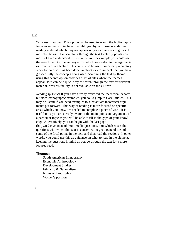*Text-based searches* This option can be used to search the bibliography for relevant texts to include in a bibliography, or to use as additional reading material which may not appear on your course reading lists. It may also be useful in searching through the text to clarify points you may not have understood fully in a lecture, for example you could use the search facility to enter keywords which are central to the arguments as presented in a lecture. This could also be useful once the preparatory work for an essay has been done, to check or cross-check that you have grasped fully the concepts being used. Searching the text by themes using this search option provides a list of sites where the themes appear, so it can be a quick way to search through the text for relevant material. \*\*\*This facility is not available on the CD.\*\*\*

*Reading by topics* If you have already reviewed the theoretical debates but need ethnographic examples, you could jump to Case Studies. This may be useful if you need examples to substantiate theoretical arguments put forward. This way of reading is more focused on specific areas which you know are needed to complete a piece of work. It is useful once you are already aware of the main points and arguments of a particular topic as you will be able to fill in the gaps of your knowledge. Alternatively, you can begin with the last page (http://nt2.ec.man.ac.uk/multimedia/questions.htm) which raises the questions with which this text is concerned; to get a general idea of some of the focal points in the text, and then read the sections. In other words, you could use this as guidance on what to read in the element, keeping the questions in mind as you go through the text for a more focused read.

#### **Themes:**

South American Ethnography Economic Anthropology Development Studies Ethnicity & Nationalism Issues of Land rights Women's position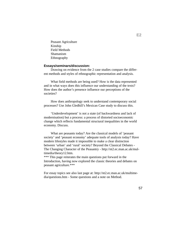Peasant Agriculture Kinship Field Methods Shamanism Ethnography

#### **Essays/seminars/discussion:**

Drawing on evidence from the 2 case studies compare the different methods and styles of ethnographic representation and analysis.

What field methods are being used? How is the data represented and in what ways does this influence our understanding of the texts? How does the author's presence influence our perceptions of the societies?

How does anthropology seek to understand contemporary social processes? Use John Gledhill's Mexican Case study to discuss this.

'Underdevelopment' is not a state (of backwardness and lack of modernisation) but a process: a process of distorted socioeconomic change which reflects fundamental structural inequalities in the world economy. Discuss.

What are peasants today? Are the classical models of 'peasant society' and 'peasant economy' adequate tools of analysis today? Have modern lifestyles made it impossible to make a clear distinction between 'urban' and 'rural' society? Beyond the Classical Debates - The Changing Character of the Peasantry - http://nt2.ec.man.ac.uk/multimedia/theory12.htm.

\*\*\* This page reiterates the main questions put forward in the Introduction, having now explored the classic theories and debates on peasant agriculture.\*\*\*

For essay topics see also last page at: http://nt2.ec.man.ac.uk/multimedia/questions.htm - Some questions and a note on Method.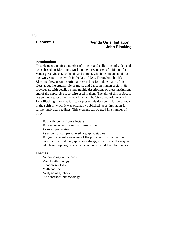## **Element 3**

# **'Venda Girls' Initiation': John Blacking**

## **Introduction:**

This element contains a number of articles and collections of video and songs based on Blacking's work on the three phases of initiation for Venda girls: vhusha, tshikanda and domba, which he documented during two years of fieldwork in the late 1950's. Throughout his life Blacking drew upon his original research to formulate many of his ideas about the crucial role of music and dance in human society. He provides us with detailed ethnographic descriptions of these institutions and of the expressive repertoire used in them. The aim of this project is not so much to outline the way in which the Venda material marked John Blacking's work as it is to re-present his data on initiation schools in the spirit in which it was originally published: as an invitation for further analytical readings. This element can be used in a number of ways:

To clarify points from a lecture To plan an essay or seminar presentation As exam preparation As a tool for comparative ethnographic studies To gain increased awareness of the processes involved in the construction of ethnographic knowledge, in particular the way in which anthropological accounts are constructed from field notes

#### **Themes:**

Anthropology of the body Visual anthropology Ethnomusicology Myth analysis Analysis of symbols Field methods/methodology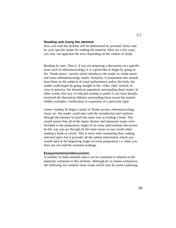#### **Reading and Using the element:**

How you read the element will be determined by personal choice and by your specific needs for reading the material. Here are a few ways you may can approach the texts depending on the context of study:

*Reading by topic* That is, if you are preparing a discussion on a specific issue such as ethnomusicology, it is a good idea to begin by going to the 'Venda music' section which introduces the reader to venda music and some ethnomusicology issues. Similarly, if preparation has already been done on the subjects of ritual performance and/or the body, the reader could begin by going straight to the 'video clips' section, to view in practice, the theoretical arguments surrounding these issues. In other words, this way of selected reading is useful if you have already reviewed the theoretical debates surrounding these issues but require further examples, clarification or expansion of a particular topic.

*Linear reading* To begin a study of Venda society, ethnomusicology, ritual, etc. the reader could start with the introduction and continue through the element in much the same way as reading a book. This would ensure that all of the major themes and important issues were included in the preparatory stages of an essay plan/seminar discussion. In this way you go through all the main issues as you would when reading a book or article. This is more time consuming than reading selected topics but it provides all the salient information which you would need at the beginning stages of essay preparation i.e. when you have not yet read the essential readings.

#### **Essays/seminars/discussion:**

A number of (inter-related) topics can be examined in relation to the materials contained in this element. Although by no means exhaustive, the following list contains some issues which may be worth exploring: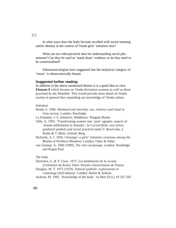In what ways does the body become ascribed with social meaning and/or identity in the context of Venda girls' initiation rites?

What use are video/pictorial data for understanding social phenomena? Can they be used as 'stand alone' evidence or do they need to be contextualised?

Ethnomusicologists have suggested that the analytical category of 'music' is ethnocentrically biased.

#### **Suggested further reading:**

In addition to the above mentioned themes it is a good idea to view **Element 8** which focuses on Venda divination systems as well as those practised by the Mambila. This would provide more detail on Venda society in general thus expanding our knowledge of Venda culture.

#### *Initiation*

Heald, S. 1999. *Manhood and morality: sex, violence and ritual in Gisu society.* London: Routledge.

La Fontaine, J. S. *Initiation*. Middlesex: Penguin Books.

- Talle, A. 1993. 'Transforming women into 'pure' agnates: aspects of female infibulation in Somalia'. In *Carved flesh, cast selves: gendered symbols and social practices* (eds) V. Broch-due, I. Rudie & T. Bleie. Oxford: Berg.
- Richards, A. I. 1956. *Chisungu: a girls' initiation ceremony among the Bemba of Northern Rhodesia*. London: Faber & Faber.
- van Gennep, A. 1960 [1909]. *The rites of passage*. London: Routledge and Kegan Paul.

#### *The body*

Dieterlen, G. & Y. Cisse. 1972. *Les fondements de la societe d'initiation du Komo.* Paris: Presses Universitaires de France. Douglas, M. T. 1973 [1970]. *Natural symbols: explorations in* 

*cosmology* (2nd edition). London: Barrie & Jenkins.

Jackson, M. 1981. 'Knowledge of the body'. In *Man* (N.S.) 18 327-345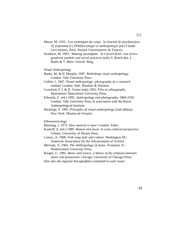- Mauss, M. 1935. 'Les techniques du corps'. In *Journal de psychanalyse* 32 (reprinted in [1950]*Sociologie et anthropologie* (ed.) Claude Levi-Strauss. Paris: Presses Universitaires de France).
- Strathern, M. 1993. 'Making incomplete'. In *Carved flesh, cast selves: gendered symbols and social practices* (eds) V. Broch-due, I. Rudie & T. Bleie. Oxford: Berg.

#### *Visual Anthropology*

Banks, M. & H. Morphy. 1997. *Rethinking visual anthropology.*  London: Yale University Press.

Collier, J. 1967. *Visual anthropology: photography as a research method*. London: Holt, Rinehart & Winston.

Crawford, P. I. & D. Turton (eds) 1992. *Film as ethnography.*  Manchester: Manchester University Press.

Edwards, E. (ed.) 1992. *Anthropology and photography, 1860-1920*. London: Yale University Press in association with the Royal Anthropological Institute.

Hockings, P. 1995. *Principles of visual anthropology* (2nd edition). New York: Mouton de Gruyter.

#### *Ethnomusicology*

Blacking, J. 1973. *How musical is man?* London: Faber.

- Koskoff, E. (ed.) 1989. *Women and music in cross-cultural perspective.* Urbana: University of Illinois Press.
- Lomax, A. 1968. *Folk song style and culture*. Washington DC: American Association for the Advancement of Science.
- Merriam, A. 1964. *The Anthropology of music.* Evanston, IL: Northwestern University Press.
- Rouget, G. 1985. *Music and trance: a theory of the relations between music and possession*. Chicago: University of Chicago Press.
- (See also the regional discographies contained in each issue)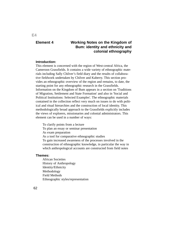# **Element 4 Working Notes on the Kingdom of Bum: identity and ethnicity and colonial ethnography**

#### **Introduction:**

This element is concerned with the region of West-central Africa, the Cameroon Grassfields. It contains a wide variety of ethnographic materials including Sally Chilver's field diary and the results of collaborative fieldwork undertaken by Chilver and Kaberry. This section provides an ethnographic overview of the region and remains, to date, the starting point for any ethnographic research in the Grassfields. Information on the Kingdom of Bum appears in a section on 'Traditions of Migration, Settlement and State Formation' and also in 'Social and Political Institutions: Selected Examples'. The ethnographic materials contained in the collection reflect very much on issues to do with political and ritual hierarchies and the construction of local identity. This methodologically broad approach to the Grassfields explicitly includes the views of explorers, missionaries and colonial administrators. This element can be used in a number of ways:

To clarify points from a lecture To plan an essay or seminar presentation As exam preparation As a tool for comparative ethnographic studies To gain increased awareness of the processes involved in the construction of ethnographic knowledge, in particular the way in which anthropological accounts are constructed from field notes

#### **Themes:**

African Societies History of Anthropology Identity/Ethnicity Methodology Field Methods Ethnographic styles/representation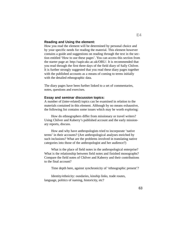#### **Reading and Using the element:**

How you read the element will be determined by personal choice and by your specific needs for reading the material. This element however contains a guide and suggestions on reading through the text in the section entitled 'How to use these pages'. You can access this section from the starter page at: http://sapir.ukc.ac.uk/OBU/. It is recommended that you read through the first three days of the field diary of Sally Chilver. It is further strongly suggested that you read these diary pages together with the published accounts as a means of coming to terms initially with the detailed ethnographic data.

The diary pages have been further linked to a set of commentaries, notes, questions and exercises.

#### **Essay and seminar discussion topics:**

A number of (inter-related) topics can be examined in relation to the materials contained in this element. Although by no means exhaustive, the following list contains some issues which may be worth exploring:

How do ethnographers differ from missionary or travel writers? Using Chilver and Kaberry's published account and the early missionary reports, discuss.

How and why have anthropologists tried to incorporate 'native terms' in their accounts? (Are anthropological analyses enriched by such inclusions? What are the problems involved in translating native categories into those of the anthropologist and her audience?)

What is the place of field notes in the anthropological enterprise? What is the relationship between field notes and finished monographs? Compare the field notes of Chilver and Kaberry and their contributions to the final account?

Time depth here, against synchronicity of 'ethnographic present'?

Identity/ethnicity: oundaries, kinship links, trade routes, language, politics of naming, historicity, etc?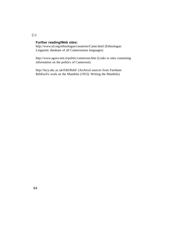# **Further reading/Web sites:**

http://www.sil.org/ethnologue/countries/Came.html (Ethnologue: Linguistic database of all Cameroonian languages)

http://www.agora.stm.it/politic/cameroon.htm (Links to sites containing information on the politics of Cameroon)

http://lucy.ukc.ac.uk/Fdtl/Rehf/ (Archival sources from Farnham Rehfisch's work on the Mambila (1953): Writing the Mambila)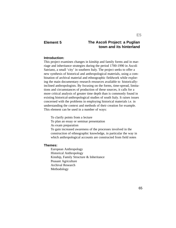# **Element 5 The Ascoli Project: a Puglian town and its hinterland**

### **Introduction:**

This project examines changes in kinship and family forms and in marriage and inheritance strategies during the period 1700-1990 in Ascoli Satriano, a small 'city' in southern Italy. The project seeks to offer a new synthesis of historical and anthropological materials, using a combination of archival material and ethnographic fieldwork while exploring the main documentary research resources available to historicallyinclined anthropologists. By focusing on the forms, time-spread, limitations and circumstances of production of these sources, it calls for a more critical analysis of greater time depth than is commonly found in existing historical-anthropological studies of south Italy. It raises issues concerned with the problems in employing historical materials i.e. in understanding the context and methods of their creation for example. This element can be used in a number of ways:

To clarify points from a lecture To plan an essay or seminar presentation As exam preparation To gain increased awareness of the processes involved in the construction of ethnographic knowledge, in particular the way in which anthropological accounts are constructed from field notes

#### **Themes:**

European Anthropology Historical Anthropology Kinship, Family Structure & Inheritance Peasant Agriculture Archival Research Methodology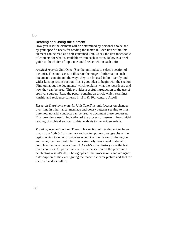#### **Reading and Using the element:**

How you read the element will be determined by personal choice and by your specific needs for reading the material. Each unit within this element can be read as a self-contained unit. Check the unit index/table of contents for what is available within each section. Below is a brief guide to the choice of topic one could select within each unit:

*Archival records* Unit One: (See the unit index to select a section of the unit). This unit seeks to illustrate the range of information such documents contain and the ways they can be used in both family and wider kinship reconstruction. It is a good idea to begin with the section 'Find out about the documents' which explains what the records are and how they can be used. This provides a useful introduction to the use of archival sources. 'Read the paper' contains an article which examines kinship and residence patterns in 18th & 20th century Ascoli.

*Research & archival material* Unit Two:This unit focuses on changes over time in inheritance, marriage and dowry patterns seeking to illustrate how notarial contracts can be used to document these processes. This provides a useful indication of the process of research, from initial reading of archival sources to data analysis to the written article.

*Visual representation* Unit Three: This section of the element includes maps from 16th & 18th century and contemporary photographs of the region which together provide an account of the history of the region and its agricultural past. Unit four - similarly uses visual material to complete the narrative account of Ascoli's urban history over the last three centuries. Of particular interest is the section on the procession celebrating a saint's day. Photographs of the procession stand alongside a description of the event giving the reader a clearer picture and feel for the town and its culture.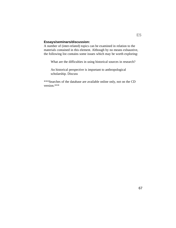# **Essays/seminars/discussion:**

A number of (inter-related) topics can be examined in relation to the materials contained in this element. Although by no means exhaustive, the following list contains some issues which may be worth exploring:

What are the difficulties in using historical sources in research?

An historical perspective is important to anthropological scholarship. Discuss

\*\*\*Searches of the database are available online only, not on the CD version.\*\*\*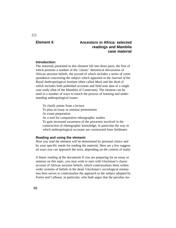# **Element 6 Ancestors in Africa: selected readings and Mambila case material**

#### **Introduction:**

The materials presented in this element fall into three parts, the first of which presents a number of the 'classic' theoretical discussions of African ancestor beliefs, the second of which includes a series of correspondence concerning the subject which appeared in the *Journal of the Royal Anthropological Institute* (then called *Man*) and the third of which includes both published accounts and field note data of a single case study (that of the Mambila of Cameroon). The element can be used in a number of ways to enrich the process of learning and understanding anthropological issues:

To clarify points from a lecture To plan an essay or seminar presentation As exam preparation As a tool for comparative ethnographic studies To gain increased awareness of the processes involved in the construction of ethnographic knowledge, in particular the way in which anthropological accounts are constructed from fieldnotes

#### **Reading and using the element:**

How you read the element will be determined by personal choice and by your specific needs for reading the material. Here are a few suggested ways you can approach the texts, depending on the context of study:

*A linear reading of the documents* If you are preparing for an essay or seminar on this topic, you may wish to start with Gluckman's classic account of African ancestor beliefs, which contextualises them within wider systems of beliefs in the dead. Gluckman's sociological orientation here serves to contextualise the approach to the subject adopted by Fortes and Calhoun, in particular, who both argue that the peculiar sta-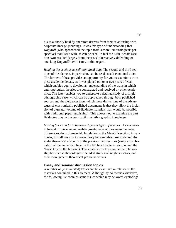tus of authority held by ancestors derives from their relationship with corporate lineage groupings. It was this type of understanding that Kopytoff (who approached the topic from a more 'culturological' perspective) took issue with, as can be seen. In fact the Man debate (section two) resulted largely from theorists' alternatively defending or attacking Kopytoff's criticisms, in this regard.

*Reading the sections as self-contained units* The second and third sections of the element, in particular, can be read as self contained units. The former of these provides an opportunity for you to examine a complete academic debate, as it was played out over two years of Man, which enables you to develop an understanding of the ways in which anthropological theories are constructed and received by other academics. The latter enables you to undertake a detailed study of a single ethnographic case, which can be approached through both published sources and the fieldnotes from which these derive (one of the advantages of electronically published documents is that they allow the inclusion of a greater volume of fieldnote materials than would be possible with traditional paper publishing). This allows you to examine the part fieldnotes play in the construction of ethnographic knowledge.

*Moving back and forth between different types of sources* The electronic format of this element enables greater ease of movement between different sections of material. In relation to the Mambila section, in particular, this allows you to move freely between this case study and the wider theoretical accounts of the previous two sections (using a combination of the embedded links in the left hand contents section, and the 'back' key on the browser). This enables you to examine the relationship between anthropologists' detailed studies of single societies, and their more general theoretical pronouncements.

#### **Essay and seminar discussion topics:**

A number of (inter-related) topics can be examined in relation to the materials contained in this element. Although by no means exhaustive, the following list contains some issues which may be worth exploring: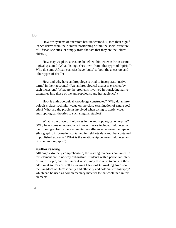How are systems of ancestors best understood? (Does their significance derive from their unique positioning within the social structure of African societies, or simply from the fact that they are the 'eldest elders'?)

How may we place ancestors beliefs within wider African cosmological systems? (What distinguishes them from other types of 'spirits'? Why do some African societies have 'cults' to both the ancestors and other types of dead?)

How and why have anthropologists tried to incorporate 'native terms' in their accounts? (Are anthropological analyses enriched by such inclusions? What are the problems involved in translating native categories into those of the anthropologist and her audience?)

How is anthropological knowledge constructed? (Why do anthropologists place such high value on the close examination of single societies? What are the problems involved when trying to apply wider anthropological theories to such singular studies?)

What is the place of fieldnotes in the anthropological enterprise? (Why have some ethnographers in recent years included fieldnotes in their monographs? Is there a qualitative difference between the type of ethnographic information contained in fieldnote data and that contained in published accounts? What is the relationship between fieldnotes and finished monographs?)

#### **Further reading:**

Although extremely comprehensive, the reading materials contained in this element are in no way exhaustive. Students with a particular interest in this topic, and the issues it raises, may also wish to consult these additional sources as well as viewing **Element 4** 'Working Notes on the Kingdom of Bum: identity and ethnicity and colonial ethnography' which can be used as complementary material to that contained in this element: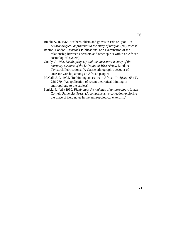Bradbury, R. 1966. 'Fathers, elders and ghosts in Edo religion.' In *Anthropological approaches to the study of religion* (ed.) Michael

Banton. London: Tavistock Publications. (An examination of the relationship between ancestors and other spirits within an African cosmological system).

- Goody, J. 1962. *Death, property and the ancestors: a study of the mortuary customs of the LoDagaa of West Africa.* London: Tavistock Publications. (A classic ethnographic account of ancestor worship among an African people)
- McCall, J. C. 1995. 'Rethinking ancestors in Africa'. In *Africa* 65 (2), 256-270. (An application of recent theoretical thinking in anthropology to the subject)
- Sanjek, R. (ed.) 1990. *Fieldnotes: the makings of anthropology*. Ithaca: Cornell University Press. (A comprehensive collection exploring the place of field notes in the anthropological enterprise)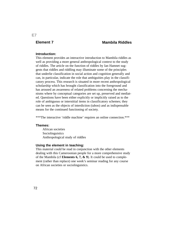# **Element 7 Mambila Riddles**

#### **Introduction:**

This element provides an interactive introduction to Mambila riddles as well as providing a more general anthropological context to the study of riddles. The article on the function of riddles by Ian Hamnet suggests that riddles and riddling may illuminate some of the principles that underlie classification in social action and cognition generally and can, in particular, indicate the role that ambiguities play in the classificatory process. This research is situated in more recent anthropological scholarship which has brought classification into the foreground and has aroused an awareness of related problems concerning the mechanisms where by conceptual categories are set up, preserved and mediated. Questions have been either explicitly or implicitly raised as to the role of ambiguous or interstitial items in classificatory schemes; they can be seen as the objects of interdiction (taboo) and as indispensable means for the continued functioning of society.

\*\*\*The interactive 'riddle machine' requires an online connection.\*\*\*

#### **Themes:**

African societies Sociolinguistics Anthropological study of riddles

#### **Using the element in teaching:**

This material could be read in conjunction with the other elements dealing with this Cameroonian people for a more comprehensive study of the Mambila (cf **Elements 6, 7, & 9**). It could be used to complement (rather than replace) one week's seminar reading for any course on African societies or sociolinguistics.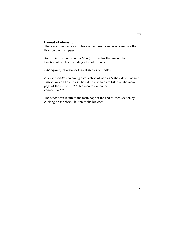## **Layout of element:**

There are three sections to this element, each can be accessed via the links on the main page:

*An article* first published in *Man* (n.s.) by Ian Hamnet on the function of riddles, including a list of references.

*Bibliography* of anthropological studies of riddles.

*Ask me a riddle* containing a collection of riddles & the riddle machine. Instructions on how to use the riddle machine are listed on the main page of the element. \*\*\*This requires an online connection.\*\*\*

The reader can return to the main page at the end of each section by clicking on the 'back' button of the browser.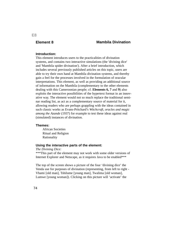# **Element 8 Mambila Divination**

# **Introduction:**

This element introduces users to the practicalities of divination systems, and contains two interactive simulations (the 'divining dice' and 'Mambila spider divination'). After a brief introduction, which includes several previously published articles on this topic, users are able to try their own hand at Mambila divination systems, and thereby gain a feel for the processes involved in the formulation of oracular interpretations. This element, as well as providing an additional source of information on the Mambila (complementary to the other elements dealing with this Cameroonian people; cf. **Elements 6, 7** and **9**) also exploits the interactive possibilities of the hypertext format in an innovative way. The element would not so much replace the traditional seminar reading list, as act as a complementary source of material for it, allowing readers who are perhaps grappling with the ideas contained in such classic works as Evans-Pritchard's *Witchcraft, oracles and magic among the Azande* (1937) for example to test these ideas against real (simulated) instances of divination.

#### **Themes:**

African Societies Ritual and Religion Rationality

#### **Using the interactive parts of the element:**

#### *The Divining Dice:*

\*\*\*This part of the element may not work with some older versions of Internet Explorer and Netscape, as it requires Java to be enabled\*\*\*

The top of the screen shows a picture of the four 'divining dice' the Venda use for purposes of divination (representing, from left to right - Vhami [old man], Tshilume [young man], Twalima [old woman], Lumwe [young woman]). Clicking on this picture will 'activate' the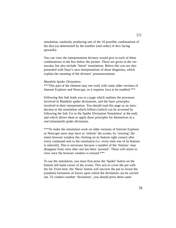simulation, randomly producing one of the 16 possible combinations of the dice (as determined by the number [and order] of dice facing upwards).

You can view the interpretations diviners would give to each of these combinations in the box below the picture. These are given in the vernacular, but also include 'literal' translations. Below this you are also presented with Stayt's own interpretations of these diagnoses, which explain the meaning of the diviners' pronouncements.

#### *Mambila Spider Divination:*

\*\*\*This part of the element may not work with some older versions of Internet Explorer and Netscape, as it requires Java to be enabled.\*\*\*

Following this link leads you to a page which outlines the processes involved in Mambila spider divinations, and the basic principles involved in their interpretation. You should read this page as an introduction to the simulation which follows (which can be accessed by following the link 'Go to the Spider Divination Simulation' at the end) and which allows them to apply these principles for themselves in a real (simulated) spider divination.

\*\*\*To make the simulation work on older versions of Internet Explorer or Netscape users may have to 'refresh' the screen, by 'resizing' the entire browser window (by clicking on its bottom right corner) after every command sent to the simulation (i.e. every time one of its buttons is selected). This is necessary because a number of the 'buttons' may disappear from view after one has been 'pressed'. These will return to view once the browser window is resized.\*\*\*

To use the simulation, you must first press the 'Spider' button on the bottom left hand corner of the screen. This acts to cover the pot with the lid. From here, the 'Show' button will uncover the pot to reveal the (random) formation of leaves upon which the divination can be carried out. To conduct another 'divination', you should press these same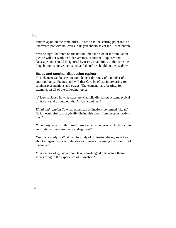buttons again, in the same order. To return to the starting point (i.e. an uncovered pot with no leaves in it) you should select the 'Reset' button.

\*\*\*The eight 'buttons' on the bottom left hand side of the simulation picture will not work on older versions of Internet Explorer and Netscape, and should be ignored by users. In addition, at this time the 'Log' button is not yet activated, and therefore should not be used\*\*\*

#### **Essay and seminar discussion topics:**

This element can be used to complement the study of a number of anthropological themes, and will therefore be of use in preparing for seminar presentations and essays. The element has a bearing, for example, on all of the following topics:

*African societies* In what ways are Mambila divination systems typical of those found throughout the African continent?

*Ritual and religion* To what extent can divinations be termed 'rituals' (is it meaningful to analytically distinguish them from 'secular' activities)?

*Rationality* What similarities/differences exist between such divinations and 'rational' western medical diagnoses?

*Discourse analysis* What can the study of divination dialogues tell us about indigenous power relations and issues concerning the 'control' of meaning?

*Ethnomethodology* What models of knowledge do the actors themselves bring to the experience of divination?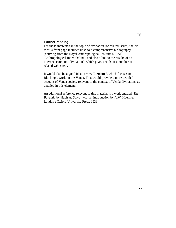#### **Further reading:**

For those interested in the topic of divination (or related issues) the element's front page includes links to a comprehensive bibliography (deriving from the Royal Anthropological Institute's [RAI] 'Anthropological Index Online') and also a link to the results of an internet search on 'divination' (which gives details of a number of related web sites).

It would also be a good idea to view **Element 3** which focuses on Blacking's work on the Venda. This would provide a more detailed account of Venda society relevant to the context of Venda divinations as detailed in this element.

An additional reference relevant to this material is a work entitled: *The Bavenda* by Hugh A. Stayt ; with an introduction by A.W. Hoernle. London : Oxford University Press, 1931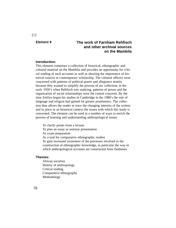# **Element 9 The work of Farnham Rehfisch and other archival sources on the Mambila**

#### **Introduction:**

This element comprises a collection of historical, ethnographic and colonial material on the Mambila and provides an opportunity for critical reading of such accounts as well as showing the importance of historical sources to contemporary scholarship. The colonial officers were concerned with patterns of political power and allegiance mainly because they wanted to simplify the process of tax collection; in the early 1950's when Rehfisch was studying, patterns of power and the organisation of social relationships were the central concerns. By the time Zeitlyn began his studies in Cambridge in the 1980's the role of language and religion had gained far greater prominence. The collection thus allows the reader to trace the changing interests of the writers and to place in an historical context the issues with which this study is concerned. The element can be used in a number of ways to enrich the process of learning and understanding anthropological issues:

To clarify points from a lecture To plan an essay or seminar presentation As exam preparation As a tool for comparative ethnographic studies To gain increased awareness of the processes involved in the construction of ethnographic knowledge, in particular the way in which anthropological accounts are constructed from fieldnotes

#### **Themes:**

African societies History of anthropology Critical reading Comparative ethnography Methodology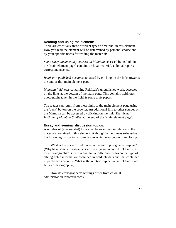#### **Reading and using the element:**

There are essentially three different types of material in this element. How you read the element will be determined by personal choice and by your specific needs for reading the material:

*Some early documentary sources on Mambila* accessed by its link on the 'main element page' contains archival material, colonial reports, correspondence etc.

*Rehfisch's published accounts* accessed by clicking on the links towards the end of the 'main element page'.

*Mambila fieldnotes* containing Rehfisch's unpublished work, accessed by the links at the bottom of the main page. This contains fieldnotes, photographs taken in the field & some draft papers.

The reader can return from these links to the main element page using the 'back' button on the browser. An additional link to other sources on the Mambila can be accessed by clicking on the link: *The Virtual Institute of Mambila Studies* at the end of the 'main element page'.

#### **Essay and seminar discussion topics:**

A number of (inter-related) topics can be examined in relation to the materials contained in this element. Although by no means exhaustive, the following list contains some issues which may be worth exploring:

What is the place of fieldnotes in the anthropological enterprise? (Why have some ethnographers in recent years included fieldnotes in their monographs? Is there a qualitative difference between the type of ethnographic information contained in fieldnote data and that contained in published accounts? What is the relationship between fieldnotes and finished monographs?)

How do ethnographers' writings differ from colonial administration reports/records?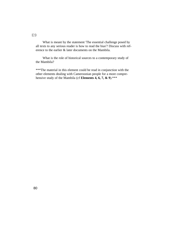What is meant by the statement 'The essential challenge posed by all texts to any serious reader is how to read the bias'? Discuss with reference to the earlier & later documents on the Mambila.

What is the role of historical sources to a contemporary study of the Mambila?

\*\*\*The material in this element could be read in conjunction with the other elements dealing with Cameroonian people for a more comprehensive study of the Mambila (cf **Elements 4, 6, 7, & 9**).\*\*\*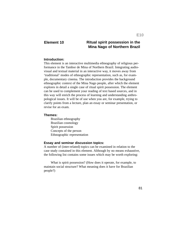# **Element 10 Ritual spirit possession in the Mina Nago of Northern Brazil**

#### **Introduction:**

This element is an interactive multimedia ethnography of religious performance in the Tambor de Mina of Northern Brazil. Integrating audiovisual and textual material in an interactive way, it moves away from 'traditional' modes of ethnographic representation, such as, for example, documentary cinema. The introduction provides the background ethnographic context of the Mina Nago people, after which the element explores in detail a single case of ritual spirit possession. The element can be used to complement your reading of text based sources, and in this way will enrich the process of learning and understanding anthropological issues. It will be of use when you are, for example, trying to clarify points from a lecture, plan an essay or seminar presentation, or revise for an exam.

#### **Themes:**

Brazilian ethnography Brazilian cosmology Spirit possession Concepts of the person Ethnographic representation

#### **Essay and seminar discussion topics:**

A number of (inter-related) topics can be examined in relation to the case study contained in this element. Although by no means exhaustive, the following list contains some issues which may be worth exploring:

What is spirit possession? (How does it operate, for example, to maintain social structure? What meaning does it have for Brazilian people?)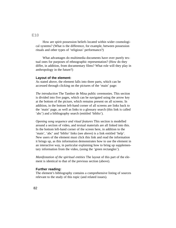# How are spirit possession beliefs located within wider cosmological systems? (What is the difference, for example, between possession rituals and other types of 'religious' performance?)

What advantages do multimedia documents have over purely textual ones for purposes of ethnographic representation? (How do they differ, in addition, from documentary films? What role will they play in anthropology in the future?)

#### **Layout of the element:**

As stated above, the element falls into three parts, which can be accessed through clicking on the pictures of the 'main' page:

*The introduction* The Tambor de Mina public ceremonies. This section is divided into five pages, which can be navigated using the arrow key at the bottom of the picture, which remains present on all screens. In addition, in the bottom left-hand corner of all screens are links back to the 'main' page, as well as links to a glossary search (this link is called 'abc') and a bibliography search (entitled 'biblio').

*Opening song sequence and ritual features* This section is modelled around a section of video, and textual materials are all linked into this. In the bottom left-hand corner of the screen here, in addition to the 'main', 'abc' and 'biblio' links (see above) is a link entitled 'help'. New users of the element must click this link and read the information it brings up, as this information demonstrates how to use the element in an interactive way, in particular explaining how to bring up supplementary information from the video, (using the 'green rectangles').

*Manifestation of the spiritual entities* The layout of this part of the element is identical to that of the previous section (above).

### **Further reading:**

The element's bibliography contains a comprehensive listing of sources relevant to the study of this topic (and related issues).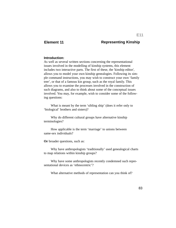# **Element 11 Representing Kinship**

#### **Introduction:**

As well as several written sections concerning the representational issues involved in the modelling of kinship systems, this element includes two interactive parts. The first of these, the 'kinship editor', allows you to model your own kinship genealogies. Following its simple command instructions, you may wish to construct your own 'family tree', or that of a famous kin group, such as the royal family. This allows you to examine the processes involved in the construction of such diagrams, and also to think about some of the conceptual issues involved. You may, for example, wish to consider some of the following questions:

What is meant by the term 'sibling ship' (does it refer only to 'biological' brothers and sisters)?

Why do different cultural groups have alternative kinship terminologies?

How applicable is the term 'marriage' to unions between same-sex individuals?

**Or** broader questions, such as:

Why have anthropologists 'traditionally' used genealogical charts to map relations within kinship groups?

Why have some anthropologists recently condemned such representational devices as 'ethnocentric'?

What alternative methods of representation can you think of?

83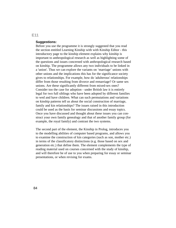#### **Suggestions:**

Before you use the programme it is strongly suggested that you read the section entitled Learning Kinship with with Kinship Editor - this introductory page to the kinship element explains why kinship is important to anthropological research as well as highlighting some of the questions and issues concerned with anthropological research based on kinship. The programme allows any two individuals to be linked in a 'union'. Thus we can explore the variants on 'marriage' unions with other unions and the implications this has for the significance society gives to relationships. For example, how do 'adulterous' relationships differ from those resulting from divorce and remarriage? Or same sex unions. Are these significantly different from mixed-sex ones? Consider too the case for adoption - under British law it is entirely legal for two full siblings who have been adopted by different families to wed and have children. What can such permutations and variations on kinship patterns tell us about the social construction of marriage, family and kin relationships? The issues raised in this introduction could be used as the basis for seminar discussions and essay topics. Once you have discussed and thought about these issues you can construct your own family genealogy and that of another family group (for example, the royal family) and contrast the two systems.

The second part of the element, the Kinship in Prolog, introduces you to the modelling abilities of computer based programs, and allows you to examine the construction of kin categories (such as son, mother etc.) in terms of the classificatory distinctions (e.g. those based on sex and generation etc.) that define them. The element complements the type of reading material used on courses concerned with the study of kinship, and will therefore be of use to you when preparing for essay or seminar presentations, or when revising for exams.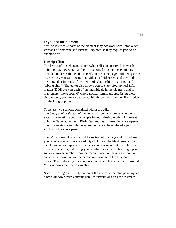#### **Layout of the element:**

\*\*\*The interactive parts of the element may not work with some older versions of Netscape and Internet Explorer, as they require java to be enabled.\*\*\*

#### **Kinship editor**

The layout of this element is somewhat self-explanatory. It is worth pointing out, however, that the instructions for using the 'editor' are included underneath the editor itself, on the same page. Following these instructions, you can 'create' individuals of either sex, and then link them together in terms of two types of relationship ('marriage' and 'sibling ship'). The editor also allows you to enter biographical information (DOB etc.) on each of the individuals in the diagram, and to manipulate/'move around' whole nuclear family groups. Using these simple tools, you are able to create highly complex and detailed models of kinship groupings.

#### There are two sections contained within the editor:

*The blue panel at the top of the page* This contains boxes where one enters information about the people in your kinship model. At present only the Name, Comment, Birth Year and Death Year fields are operative. Information can only be entered once you have placed a person symbol in the white panel.

*The white panel* This is the middle section of the page and it is where your kinship diagram is created. By clicking in the blank area of this panel a menu will appear with a person or marriage link for selection. This is how to begin drawing your kinship model - by choosing a person or marriage symbol from the menu. Once you have a symbol you can enter information on the person or marriage in the blue panel above. This is done by clicking once on the symbol which will turn red. You can now enter the information.

*'Help'* Clicking on the help button at the centre of the blue panel opens a new window which contains detailed instructions on how to create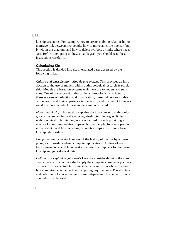# **E11**

kinship structures. For example, how to create a sibling relationship or marriage link between two people, how to move an entire nuclear family within the diagram, and how to delete symbols or links where necessary. Before attempting to draw up a diagram you should read these instructions carefully.

#### **Calculating Kin**

This section is divided into six interrelated parts accessed by the following links:

*Culture and classification: Models and systems* This provides an introduction to the use of models within anthropological research & scholarship. Models are based on systems which we use to understand societies. One of the responsibilities of the anthropologist is to identify these systems of reduction and organisation, these indigenous models of the world and their experience in the world, and to attempt to understand the basis by which these models are constructed.

*Modelling kinship* This section explains the importance to anthropologists of understanding and analysing kinship terminologies. It deals with how kinship terminologies are organised through providing a means of classifying relationships with other people, for every person in the society, and how genealogical relationships are different from kinship relationships.

*Computers and Kinship* A survey of the history of the use by anthropologists of kinship-related computer applications. Anthropologists have shown considerable interest in the use of computers for analysing kinship and genealogical data.

*Defining conceptual requirements* Here we consider defining the conceptual terms to which we shall apply the computer-based analytic procedures. The conceptual terms must be determined, in whole, by analytical requirements rather than computing requirements. The structure and definition of conceptual terms are independent of whether or not a computer is to be used.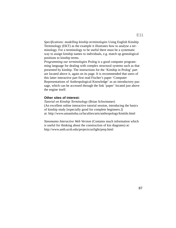*Specifications: modelling kinship terminologies* Using English Kinship Terminology (EKT) as the example it illustrates how to analyse a terminology. For a terminology to be useful there must be a systematic way to assign kinship names to individuals, e.g. match up genealogical positions to kinship terms.

*Programming our terminologies* Prolog is a good computer programming language for dealing with complex structural systems such as that presented by kinship. The instructions for the 'Kinship in Prolog' part are located above it, again on its page. It is recommended that users of this latter interactive part first read Fischer's paper 'Computer Representations of Anthropological Knowledge' as an introductory passage, which can be accessed through the link 'paper' located just above the engine itself.

#### **Other sites of interest:**

*Tutorial on Kinship Terminology* (Brian Schwimmer) (An excellent online interactive tutorial session, introducing the basics of kinship study [especially good for complete beginners.]) at: http://www.umanitoba.ca/faculties/arts/anthropology/kintitle.html

*Yanomamo Interactive Web Version* (Contains much information which is useful for thinking about the construction of kin diagrams) at: http://www.anth.ucsb.edu/projects/axfight/prep.html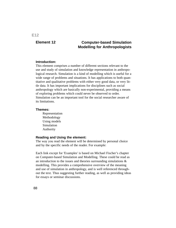# **E12**

# **Element 12 Computer-based Simulation Modelling for Anthropologists**

#### **Introduction:**

This element comprises a number of different sections relevant to the use and study of simulation and knowledge representation in anthropological research. Simulation is a kind of modelling which is useful for a wide range of problems and situations. It has applications to both quantitative and qualitative problems with either very good data, or very little data. It has important implications for disciplines such as social anthropology which are basically non-experimental, providing a means of exploring problems which could never be observed to order. Simulation can be an important tool for the social researcher aware of its limitations.

#### **Themes:**

Representation Methodology Using models Simulation Authority

#### **Reading and Using the element:**

The way you read the element will be determined by personal choice and by the specific needs of the reader. For example:

Each link except for 'Examples' is based on Michael Fischer's chapter on Computer-based Simulation and Modelling. These could be read as an introduction to the issues and theories surrounding simulations & modelling. This provides a comprehensive overview of the meaning and use of simulation in anthropology, and is well referenced throughout the text. Thus suggesting further reading, as well as providing ideas for essays or seminar discussions.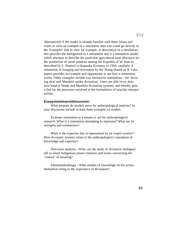Alternatively if the reader is already familiar with these issues and wants to view an example of a simulation then you could go directly to the 'Examples' link to view for example: A description of a simulation this provides the background to a simulation and is a simulation model which attempts to describe the particular agricultural land allocation for the production of sweet potatoes among the Kapauku of W. Irian as described by L. Pospisil in *Kapauku Economy* in 1956; similarly A simulation of foraging and movement by the !Kung (based on R. Lees paper) provides an example and opportunity to see how a simulation works. Other examples include two interactive simulations - the 'divining dice' and 'Mambila spider divination'. Users are able to try their own hand at Venda and Mambila divination systems, and thereby gain a feel for the processes involved in the formulation of oracular interpretations.

#### **Essays/seminars/discussion:**

What purpose do models serve for anthropological analysis? In your discussion include at least three examples of models.

Evaluate simulation as a means or aid for anthropological research. What is a simulation attempting to represent? What are its strengths and weaknesses?

What is the expertise that is represented by an 'expert system'? How do expert systems relate to the anthropologist's conception of knowledge and expertise?

Discourse analysis - What can the study of divination dialogues tell us about indigenous power relations and issues concerning the 'control' of meaning?

Ethnomethodology - What models of knowledge do the actors themselves bring to the experience of divination?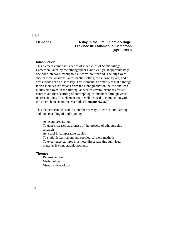# **E13**

# **Element 13 A day in the Life ... Somié Village, Province de l'Adamaoua, Cameroon (April, 1999)**

#### **Introduction:**

This element comprises a series of video clips of Somié village, Cameroon, taken by the ethnographer David Zeitlyn at approximately one hour intervals, throughout a twelve-hour period. The clips were shot in three locations - a residential setting, the village square, and a cross-roads near a dispensary. This element is primarily visual although it also includes reflections from the ethnographer on the use and techniques employed in the filming, as well as several exercises for students to aid their learning of anthropological methods through visual representations. This element could well be used in conjunction with the other elements on the Mambila (**Elements 6,7,8,9**).

This element can be used in a number of ways to enrich our learning and understanding of anthropology:

As exam preparation To gain increased awareness of the process of ethnographic research As a tool in comparative studies To study & learn about anthropological field methods To experience cultures in a more direct way through visual material & ethnographic accounts

#### **Themes:**

Representation Methodology Visual anthropology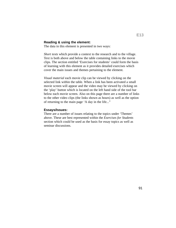#### **Reading & using the element:**

The data in this element is presented in two ways:

*Short texts* which provide a context to the research and to the village. Text is both above and below the table containing links to the movie clips. The section entitled 'Exercises for students' could form the basis of learning with this element as it provides detailed exercises which cover the main issues and themes pertaining to the element.

*Visual material* each movie clip can be viewed by clicking on the selected link within the table. When a link has been activated a small movie screen will appear and the video may be viewed by clicking on the 'play' button which is located on the left hand side of the tool bar below each movie screen. Also on this page there are a number of links to the other video clips (the links shown as hours) as well as the option of returning to the main page 'A day in the life..."

#### **Essays/Issues:**

There are a number of issues relating to the topics under 'Themes' above. These are best represented within the *Exercises for Students* section which could be used as the basis for essay topics as well as seminar discussions.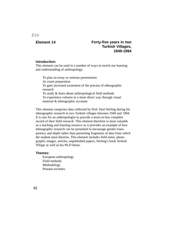**E14**

# **Element 14 Forty-five years in two Turkish Villages, 1949-1994**

#### **Introduction:**

This element can be used in a number of ways to enrich our learning and understanding of anthropology:

To plan an essay or seminar presentation As exam preparation To gain increased awareness of the process of ethnographic research To study & learn about anthropological field methods To experience cultures in a more direct way through visual material & ethnographic accounts

This element comprises data collected by Prof. Paul Stirling during his ethnographic research in two Turkish villages between 1949 and 1994. It is rare for an anthropologist to provide a more-or-less complete record of their field research. This element therefore is most valuable as a teaching and learning resource as it provides an example of how ethnographic research can be presented to encourage greater transparency and depth rather than presenting fragments of data from which the student must theorise. This element includes field notes, photographic images, articles, unpublished papers, Stirling's book *Turkish Village* as well as his Ph.D thesis.

#### **Themes:**

European anthropology Field methods Methodology Peasant societies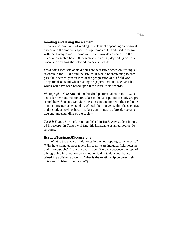#### **Reading and Using the element:**

There are several ways of reading this element depending on personal choice and the student's specific requirements. It is advised to begin with the 'Background' information which provides a context to the material presented here. Other sections to access, depending on your reasons for reading the selected materials include:

*Field notes* Two sets of field notes are accessible based on Stirling's research in the 1950's and the 1970's. It would be interesting to compare the 2 sets to gain an idea of the progression of his field work. They are also useful when reading his papers and published articles which will have been based upon these initial field records.

*Photographic data* Around one hundred pictures taken in the 1950's and a further hundred pictures taken in the later period of study are presented here. Students can view these in conjunction with the field notes to gain a greater understanding of both the changes within the societies under study as well as how this data contributes to a broader perspective and understanding of the society.

*Turkish Village* Stirling's book published in 1965. Any student interested in research in Turkey will find this invaluable as an ethnographic resource.

#### **Essays/Seminars/Discussions:**

What is the place of field notes in the anthropological enterprise? (Why have some ethnographers in recent years included field notes in their monographs? Is there a qualitative difference between the type of ethnographic information contained in field note data and that contained in published accounts? What is the relationship between field notes and finished monographs?)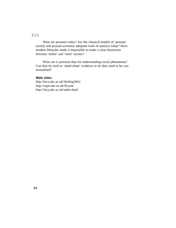# **E14**

What are peasants today? Are the classical models of 'peasant society and peasant economy adequate tools of analysis today? Have modern lifestyles made it impossible to make a clear distinction between 'urban' and 'rural' society?

What use is pictorial data for understanding social phenomena? Can they be used as 'stand alone' evidence or do they need to be contextualised?

#### **Web sites:**

http://lucy.ukc.ac.uk/Stirling/MA/ http://sapir.ukc.ac.uk/SLyon/ http://lucy.ukc.ac.uk/index.html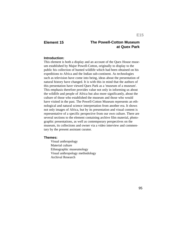# **Element 15 The Powell-Cotton Museum at Quex Park**

#### **Introduction:**

This element is both a display and an account of the Quex House museum established by Major Powell-Cotton, originally to display to the public his collection of hunted wildlife which had been obtained on his expeditions to Africa and the Indian sub-continent. As technologies such as television have come into being, ideas about the presentation of natural history have changed. It is with this in mind that the authors of this presentation have viewed Quex Park as a 'museum of a museum'. This emphasis therefore provides value not only in informing us about the wildlife and people of Africa but also more significantly, about the culture of those who established the museum and those who would have visited in the past. The Powell-Cotton Museum represents an ethnological and natural science interpretation from another era. It shows not only images of Africa, but by its presentation and visual content is representative of a specific perspective from our own culture. There are several sections to the element containing archive film material, photographic presentations, as well as contemporary perspectives on the museum, its collections and owner via a video interview and commentary by the present assistant curator.

#### **Themes:**

Visual anthropology Material culture Ethnographic museumology Visual anthropology methodology Archival Research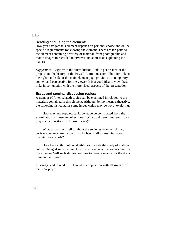#### **Reading and using the element:**

How you navigate this element depends on personal choice and on the specific requirements for viewing the element. There are ten parts to the element containing a variety of material, from photographic and movie images to recorded interviews and short texts explaining the material.

*Suggestions:* Begin with the 'Introduction' link to get an idea of the project and the history of the Powell-Cotton museum. The four links on the right hand side of the main element page provide a contemporary context and perspective for the viewer. It is a good idea to view these links in conjunction with the more visual aspects of the presentation.

#### **Essay and seminar discussion topics:**

A number of (inter-related) topics can be examined in relation to the materials contained in this element. Although by no means exhaustive, the following list contains some issues which may be worth exploring:

How may anthropological knowledge be constructed from the examination of museum collections? (Why do different museums display such collections in different ways)?

What can artifacts tell us about the societies from which they derive? Can an examination of such objects tell us anything about mankind as a whole?

How have anthropological attitudes towards the study of material culture changed since the nineteenth century? What factors account for this change? Will such studies continue to have relevance for the discipline in the future?

It is suggested to read this element in conjunction with **Element 1** of the ERA project.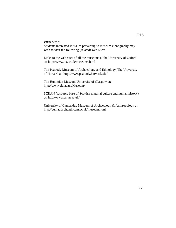## **Web sites:**

Students interested in issues pertaining to museum ethnography may wish to visit the following (related) web sites:

Links to the web sites of all the museums at the University of Oxford at: http://www.ox.ac.uk/museums.html

The Peabody Museum of Archaeology and Ethnology, The University of Harvard at: http://www.peabody.harvard.edu/

The Hunterian Museum University of Glasgow at: http://www.gla.ac.uk/Museum/

SCRAN (resource base of Scottish material culture and human history) at: http://www.scran.ac.uk/

University of Cambridge Museum of Archaeology & Anthropology at: http://cumaa.archanth.cam.ac.uk/museum.html